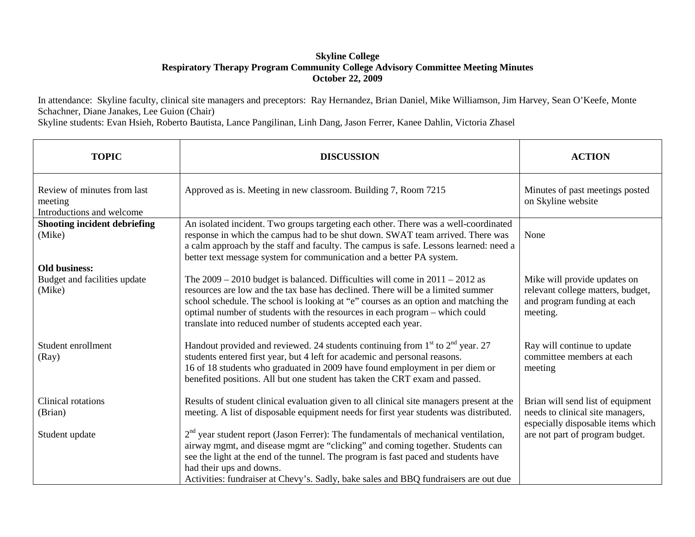## **Skyline College Respiratory Therapy Program Community College Advisory Committee Meeting Minutes October 22, 2009**

In attendance: Skyline faculty, clinical site managers and preceptors: Ray Hernandez, Brian Daniel, Mike Williamson, Jim Harvey, Sean O'Keefe, Monte Schachner, Diane Janakes, Lee Guion (Chair)

Skyline students: Evan Hsieh, Roberto Bautista, Lance Pangilinan, Linh Dang, Jason Ferrer, Kanee Dahlin, Victoria Zhasel

| <b>TOPIC</b>                                                        | <b>DISCUSSION</b>                                                                                                                                                                                                                                                                                                                                                                                          | <b>ACTION</b>                                                                                                |
|---------------------------------------------------------------------|------------------------------------------------------------------------------------------------------------------------------------------------------------------------------------------------------------------------------------------------------------------------------------------------------------------------------------------------------------------------------------------------------------|--------------------------------------------------------------------------------------------------------------|
| Review of minutes from last<br>meeting<br>Introductions and welcome | Approved as is. Meeting in new classroom. Building 7, Room 7215                                                                                                                                                                                                                                                                                                                                            | Minutes of past meetings posted<br>on Skyline website                                                        |
| <b>Shooting incident debriefing</b><br>(Mike)                       | An isolated incident. Two groups targeting each other. There was a well-coordinated<br>response in which the campus had to be shut down. SWAT team arrived. There was<br>a calm approach by the staff and faculty. The campus is safe. Lessons learned: need a<br>better text message system for communication and a better PA system.                                                                     | None                                                                                                         |
| <b>Old business:</b><br>Budget and facilities update<br>(Mike)      | The $2009 - 2010$ budget is balanced. Difficulties will come in $2011 - 2012$ as<br>resources are low and the tax base has declined. There will be a limited summer<br>school schedule. The school is looking at "e" courses as an option and matching the<br>optimal number of students with the resources in each program - which could<br>translate into reduced number of students accepted each year. | Mike will provide updates on<br>relevant college matters, budget,<br>and program funding at each<br>meeting. |
| Student enrollment<br>(Ray)                                         | Handout provided and reviewed. 24 students continuing from $1st$ to $2nd$ year. 27<br>students entered first year, but 4 left for academic and personal reasons.<br>16 of 18 students who graduated in 2009 have found employment in per diem or<br>benefited positions. All but one student has taken the CRT exam and passed.                                                                            | Ray will continue to update<br>committee members at each<br>meeting                                          |
| Clinical rotations<br>(Brian)                                       | Results of student clinical evaluation given to all clinical site managers present at the<br>meeting. A list of disposable equipment needs for first year students was distributed.                                                                                                                                                                                                                        | Brian will send list of equipment<br>needs to clinical site managers,<br>especially disposable items which   |
| Student update                                                      | $2nd$ year student report (Jason Ferrer): The fundamentals of mechanical ventilation,<br>airway mgmt, and disease mgmt are "clicking" and coming together. Students can<br>see the light at the end of the tunnel. The program is fast paced and students have<br>had their ups and downs.<br>Activities: fundraiser at Chevy's. Sadly, bake sales and BBQ fundraisers are out due                         | are not part of program budget.                                                                              |